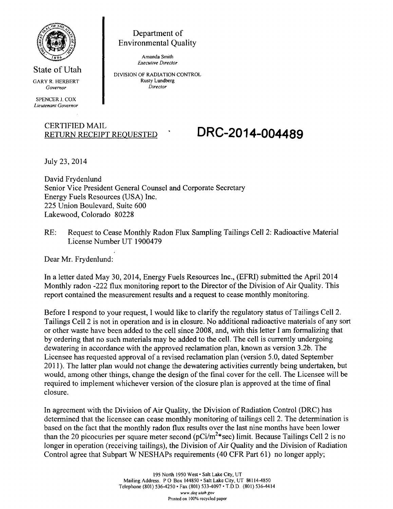

State of Utah GARY R. HERBERT Governor

*SPENCER J. COX Lieutenant Governor* 

> CERTIFIED MAIL \_ \_ \_ **RETURN RECEIPT REQUESTED**

July 23,2014

David Frydenlund Senior Vice President General Counsel and Corporate Secretary Energy Fuels Resources (USA) Inc. 225 Union Boulevard, Suite 600 Lakewood, Colorado 80228

Department of Environmental Quality

*Amanda Smith Executive Director DIVISION OF RADIATION CONTROL Rusty Lundberg Director* 

RE: Request to Cease Monthly Radon Flux Sampling Tailings Cell 2: Radioactive Material License Number UT 1900479

Dear Mr. Frydenlund:

In a letter dated May 30, 2014, Energy Fuels Resources Inc., (EFRI) submitted the April 2014 Monthly radon -222 flux monitoring report to the Director of the Division of Air Quality. This report contained the measurement results and a request to cease monthly monitoring.

Before I respond to your request, I would like to clarify the regulatory status of Tailings Cell 2. Tailings Cell 2 is not in operation and is in closure. No additional radioactive materials of any sort or other waste have been added to the cell since 2008, and, with this letter I am formalizing that by ordering that no such materials may be added to the cell. The cell is currently undergoing dewatering in accordance with the approved reclamation plan, known as version 3.2b. The Licensee has requested approval of a revised reclamation plan (version 5.0, dated September 2011). The latter plan would not change the dewatering activities currently being undertaken, but would, among other things, change the design of the final cover for the cell. The Licensee will be required to implement whichever version of the closure plan is approved at the time of final closure.

In agreement with the Division of Air Quality, the Division of Radiation Control (DRC) has determined that the licensee can cease monthly monitoring of tailings cell 2. The determination is based on the fact that the monthly radon flux results over the last nine months have been lower than the 20 picocuries per square meter second (pCi/m<sup>2\*</sup>sec) limit. Because Tailings Cell 2 is no longer in operation (receiving tailings), the Division of Air Quality and the Division of Radiation Control agree that Subpart W NESHAPs requirements (40 CFR Part 61) no longer apply;